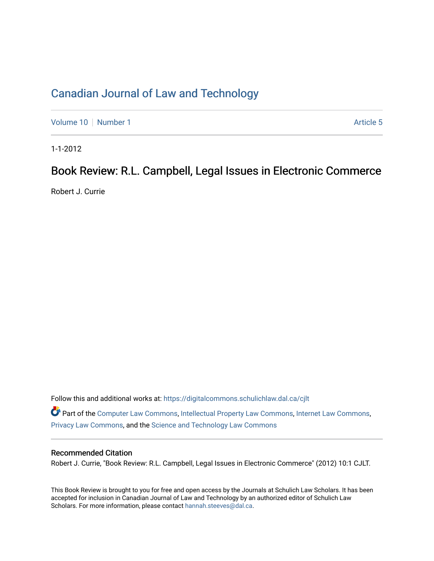# [Canadian Journal of Law and Technology](https://digitalcommons.schulichlaw.dal.ca/cjlt)

[Volume 10](https://digitalcommons.schulichlaw.dal.ca/cjlt/vol10) [Number 1](https://digitalcommons.schulichlaw.dal.ca/cjlt/vol10/iss1) Article 5

1-1-2012

# Book Review: R.L. Campbell, Legal Issues in Electronic Commerce

Robert J. Currie

Follow this and additional works at: [https://digitalcommons.schulichlaw.dal.ca/cjlt](https://digitalcommons.schulichlaw.dal.ca/cjlt?utm_source=digitalcommons.schulichlaw.dal.ca%2Fcjlt%2Fvol10%2Fiss1%2F5&utm_medium=PDF&utm_campaign=PDFCoverPages)  Part of the [Computer Law Commons,](http://network.bepress.com/hgg/discipline/837?utm_source=digitalcommons.schulichlaw.dal.ca%2Fcjlt%2Fvol10%2Fiss1%2F5&utm_medium=PDF&utm_campaign=PDFCoverPages) [Intellectual Property Law Commons,](http://network.bepress.com/hgg/discipline/896?utm_source=digitalcommons.schulichlaw.dal.ca%2Fcjlt%2Fvol10%2Fiss1%2F5&utm_medium=PDF&utm_campaign=PDFCoverPages) [Internet Law Commons,](http://network.bepress.com/hgg/discipline/892?utm_source=digitalcommons.schulichlaw.dal.ca%2Fcjlt%2Fvol10%2Fiss1%2F5&utm_medium=PDF&utm_campaign=PDFCoverPages) [Privacy Law Commons,](http://network.bepress.com/hgg/discipline/1234?utm_source=digitalcommons.schulichlaw.dal.ca%2Fcjlt%2Fvol10%2Fiss1%2F5&utm_medium=PDF&utm_campaign=PDFCoverPages) and the [Science and Technology Law Commons](http://network.bepress.com/hgg/discipline/875?utm_source=digitalcommons.schulichlaw.dal.ca%2Fcjlt%2Fvol10%2Fiss1%2F5&utm_medium=PDF&utm_campaign=PDFCoverPages) 

### Recommended Citation

Robert J. Currie, "Book Review: R.L. Campbell, Legal Issues in Electronic Commerce" (2012) 10:1 CJLT.

This Book Review is brought to you for free and open access by the Journals at Schulich Law Scholars. It has been accepted for inclusion in Canadian Journal of Law and Technology by an authorized editor of Schulich Law Scholars. For more information, please contact [hannah.steeves@dal.ca](mailto:hannah.steeves@dal.ca).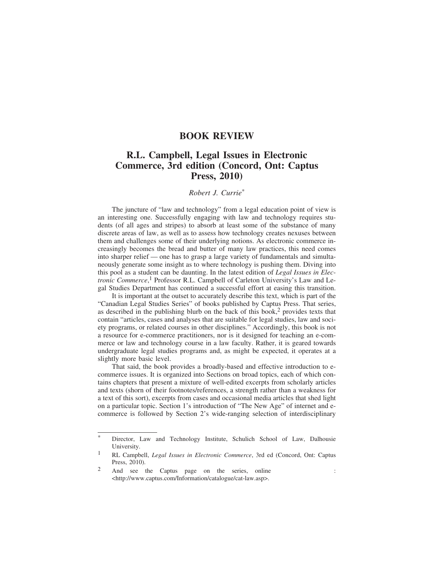#### **BOOK REVIEW**

### **R.L. Campbell, Legal Issues in Electronic Commerce, 3rd edition (Concord, Ont: Captus Press, 2010)**

#### *Robert J. Currie*\*

The juncture of "law and technology" from a legal education point of view is an interesting one. Successfully engaging with law and technology requires students (of all ages and stripes) to absorb at least some of the substance of many discrete areas of law, as well as to assess how technology creates nexuses between them and challenges some of their underlying notions. As electronic commerce increasingly becomes the bread and butter of many law practices, this need comes into sharper relief — one has to grasp a large variety of fundamentals and simultaneously generate some insight as to where technology is pushing them. Diving into this pool as a student can be daunting. In the latest edition of *Legal Issues in Electronic Commerce*, 1 Professor R.L. Campbell of Carleton University's Law and Legal Studies Department has continued a successful effort at easing this transition.

It is important at the outset to accurately describe this text, which is part of the "Canadian Legal Studies Series" of books published by Captus Press. That series, as described in the publishing blurb on the back of this book, $2$  provides texts that contain "articles, cases and analyses that are suitable for legal studies, law and society programs, or related courses in other disciplines." Accordingly, this book is not a resource for e-commerce practitioners, nor is it designed for teaching an e-commerce or law and technology course in a law faculty. Rather, it is geared towards undergraduate legal studies programs and, as might be expected, it operates at a slightly more basic level.

That said, the book provides a broadly-based and effective introduction to ecommerce issues. It is organized into Sections on broad topics, each of which contains chapters that present a mixture of well-edited excerpts from scholarly articles and texts (shorn of their footnotes/references, a strength rather than a weakness for a text of this sort), excerpts from cases and occasional media articles that shed light on a particular topic. Section 1's introduction of "The New Age" of internet and ecommerce is followed by Section 2's wide-ranging selection of interdisciplinary

Director, Law and Technology Institute, Schulich School of Law, Dalhousie University.

<sup>1</sup> RL Campbell, *Legal Issues in Electronic Commerce*, 3rd ed (Concord, Ont: Captus Press, 2010).

<sup>2</sup> And see the Captus page on the series, online : <http://www.captus.com/Information/catalogue/cat-law.asp>.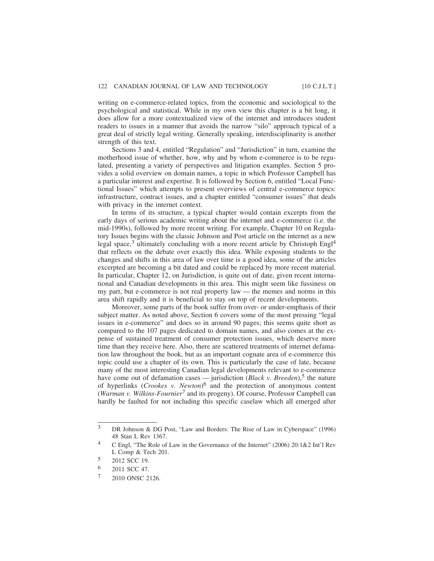writing on e-commerce-related topics, from the economic and sociological to the psychological and statistical. While in my own view this chapter is a bit long, it does allow for a more contextualized view of the internet and introduces student readers to issues in a manner that avoids the narrow "silo" approach typical of a great deal of strictly legal writing. Generally speaking, interdisciplinarity is another strength of this text.

Sections 3 and 4, entitled "Regulation" and "Jurisdiction" in turn, examine the motherhood issue of whether, how, why and by whom e-commerce is to be regulated, presenting a variety of perspectives and litigation examples. Section 5 provides a solid overview on domain names, a topic in which Professor Campbell has a particular interest and expertise. It is followed by Section 6, entitled "Local Functional Issues" which attempts to present overviews of central e-commerce topics: infrastructure, contract issues, and a chapter entitled "consumer issues" that deals with privacy in the internet context.

In terms of its structure, a typical chapter would contain excerpts from the early days of serious academic writing about the internet and e-commerce (i.e. the mid-1990s), followed by more recent writing. For example, Chapter 10 on Regulatory Issues begins with the classic Johnson and Post article on the internet as a new legal space,<sup>3</sup> ultimately concluding with a more recent article by Christoph Engl<sup>4</sup> that reflects on the debate over exactly this idea. While exposing students to the changes and shifts in this area of law over time is a good idea, some of the articles excerpted are becoming a bit dated and could be replaced by more recent material. In particular, Chapter 12, on Jurisdiction, is quite out of date, given recent international and Canadian developments in this area. This might seem like fussiness on my part, but e-commerce is not real property law — the memes and norms in this area shift rapidly and it is beneficial to stay on top of recent developments.

Moreover, some parts of the book suffer from over- or under-emphasis of their subject matter. As noted above, Section 6 covers some of the most pressing "legal issues in e-commerce" and does so in around 90 pages; this seems quite short as compared to the 107 pages dedicated to domain names, and also comes at the expense of sustained treatment of consumer protection issues, which deserve more time than they receive here. Also, there are scattered treatments of internet defamation law throughout the book, but as an important cognate area of e-commerce this topic could use a chapter of its own. This is particularly the case of late, because many of the most interesting Canadian legal developments relevant to e-commerce have come out of defamation cases — jurisdiction (*Black v. Breeden*),<sup>5</sup> the nature of hyperlinks (*Crookes v. Newton*)6 and the protection of anonymous content (*Warman v. Wilkins-Fournier*7 and its progeny). Of course, Professor Campbell can hardly be faulted for not including this specific caselaw which all emerged after

<sup>3</sup> DR Johnson & DG Post, "Law and Borders: The Rise of Law in Cyberspace" (1996) 48 Stan L Rev 1367.

<sup>4</sup> C Engl, "The Role of Law in the Governance of the Internet" (2006) 20:1&2 Int'l Rev L Comp & Tech 201.

 $\frac{5}{6}$  2012 SCC 19.

<sup>2011</sup> SCC 47.

<sup>7</sup> 2010 ONSC 2126.